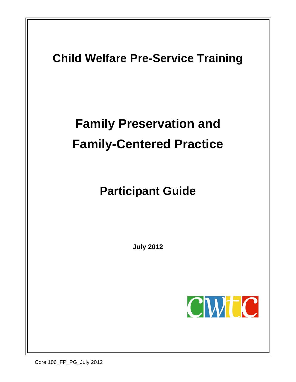<span id="page-0-1"></span><span id="page-0-0"></span>

Core 106\_FP\_PG\_July 2012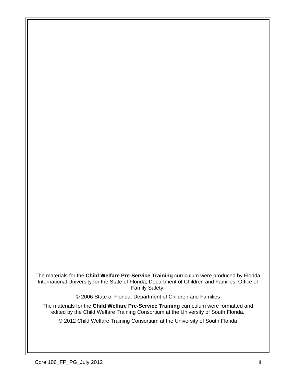The materials for the **Child Welfare Pre-Service Training** curriculum were produced by Florida International University for the State of Florida, Department of Children and Families, Office of Family Safety.

© 2006 State of Florida, Department of Children and Families

The materials for the **Child Welfare Pre-Service Training** curriculum were formatted and edited by the Child Welfare Training Consortium at the University of South Florida.

© 2012 Child Welfare Training Consortium at the University of South Florida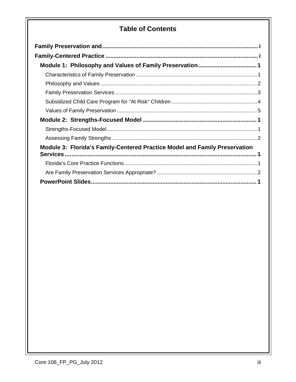### **Table of Contents**

| Module 3: Florida's Family-Centered Practice Model and Family Preservation |
|----------------------------------------------------------------------------|
|                                                                            |
|                                                                            |
|                                                                            |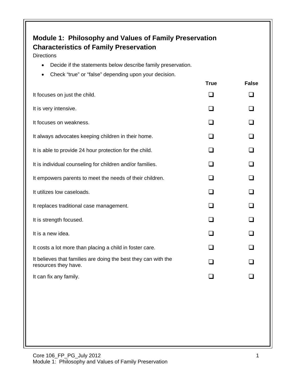## <span id="page-3-1"></span><span id="page-3-0"></span>**Module 1: Philosophy and Values of Family Preservation Characteristics of Family Preservation**

**Directions** 

- Decide if the statements below describe family preservation.
- Check "true" or "false" depending upon your decision.

|                                                                                        | <b>True</b>    | <b>False</b> |
|----------------------------------------------------------------------------------------|----------------|--------------|
| It focuses on just the child.                                                          | l. I           |              |
| It is very intensive.                                                                  | $\Box$         |              |
| It focuses on weakness.                                                                |                |              |
| It always advocates keeping children in their home.                                    | l 1            |              |
| It is able to provide 24 hour protection for the child.                                |                |              |
| It is individual counseling for children and/or families.                              | l 1            |              |
| It empowers parents to meet the needs of their children.                               |                |              |
| It utilizes low caseloads.                                                             | l 1            |              |
| It replaces traditional case management.                                               | $\Box$         |              |
| It is strength focused.                                                                | $\mathsf{L}$   |              |
| It is a new idea.                                                                      | H              |              |
| It costs a lot more than placing a child in foster care.                               | $\blacksquare$ |              |
| It believes that families are doing the best they can with the<br>resources they have. | $\Box$         |              |
| It can fix any family.                                                                 | $\mathsf{L}$   |              |
|                                                                                        |                |              |
|                                                                                        |                |              |
|                                                                                        |                |              |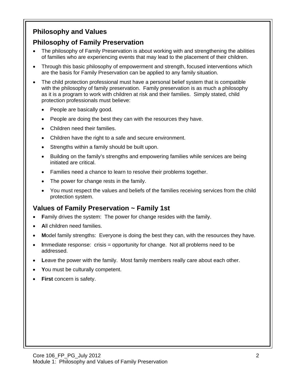### <span id="page-4-0"></span>**Philosophy and Values**

#### **Philosophy of Family Preservation**

- The philosophy of Family Preservation is about working with and strengthening the abilities of families who are experiencing events that may lead to the placement of their children.
- Through this basic philosophy of empowerment and strength, focused interventions which are the basis for Family Preservation can be applied to any family situation.
- The child protection professional must have a personal belief system that is compatible with the philosophy of family preservation. Family preservation is as much a philosophy as it is a program to work with children at risk and their families. Simply stated, child protection professionals must believe:
	- People are basically good.
	- People are doing the best they can with the resources they have.
	- Children need their families.
	- Children have the right to a safe and secure environment.
	- Strengths within a family should be built upon.
	- Building on the family's strengths and empowering families while services are being initiated are critical.
	- Families need a chance to learn to resolve their problems together.
	- The power for change rests in the family.
	- You must respect the values and beliefs of the families receiving services from the child protection system.

### **Values of Family Preservation ~ Family 1st**

- **Family drives the system: The power for change resides with the family.**
- All children need families.
- **M**odel family strengths: Everyone is doing the best they can, with the resources they have.
- **I**mmediate response: crisis = opportunity for change. Not all problems need to be addressed.
- Leave the power with the family. Most family members really care about each other.
- **Y**ou must be culturally competent.
- **First** concern is safety.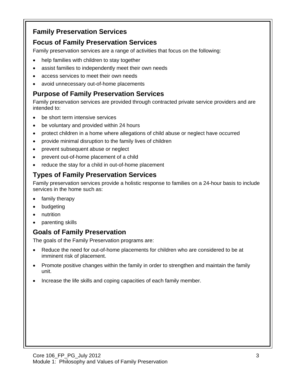#### <span id="page-5-0"></span>**Family Preservation Services**

#### **Focus of Family Preservation Services**

Family preservation services are a range of activities that focus on the following:

- help families with children to stay together
- assist families to independently meet their own needs
- access services to meet their own needs
- avoid unnecessary out-of-home placements

#### **Purpose of Family Preservation Services**

Family preservation services are provided through contracted private service providers and are intended to:

- be short term intensive services
- be voluntary and provided within 24 hours
- protect children in a home where allegations of child abuse or neglect have occurred
- provide minimal disruption to the family lives of children
- prevent subsequent abuse or neglect
- prevent out-of-home placement of a child
- reduce the stay for a child in out-of-home placement

#### **Types of Family Preservation Services**

Family preservation services provide a holistic response to families on a 24-hour basis to include services in the home such as:

- family therapy
- budgeting
- nutrition
- parenting skills

#### **Goals of Family Preservation**

The goals of the Family Preservation programs are:

- Reduce the need for out-of-home placements for children who are considered to be at imminent risk of placement.
- Promote positive changes within the family in order to strengthen and maintain the family unit.
- Increase the life skills and coping capacities of each family member.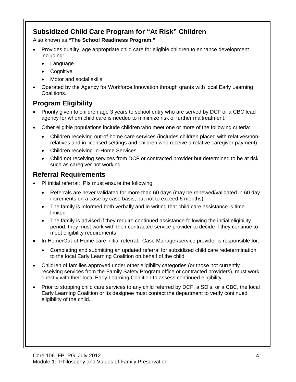#### <span id="page-6-0"></span>**Subsidized Child Care Program for "At Risk" Children**

Also known as **"The School Readiness Program."**

- Provides quality, age appropriate child care for eligible children to enhance development including:
	- Language
	- Cognitive
	- Motor and social skills
- Operated by the Agency for Workforce Innovation through grants with local Early Learning Coalitions.

### **Program Eligibility**

- Priority given to children age 3 years to school entry who are served by DCF or a CBC lead agency for whom child care is needed to minimize risk of further maltreatment.
- Other eligible populations include children who meet one or more of the following criteria:
	- Children receiving out-of-home care services (includes children placed with relatives/nonrelatives and in licensed settings and children who receive a relative caregiver payment)
	- Children receiving In-Home Services
	- Child not receiving services from DCF or contracted provider but determined to be at risk such as caregiver not working

#### **Referral Requirements**

- PI initial referral: PIs must ensure the following:
	- Referrals are never validated for more than 60 days (may be renewed/validated in 60 day increments on a case by case basis, but not to exceed 6 months)
	- The family is informed both verbally and in writing that child care assistance is time limited
	- The family is advised if they require continued assistance following the initial eligibility period, they must work with their contracted service provider to decide if they continue to meet eligibility requirements
- In-Home/Out-of-Home care initial referral: Case Manager/service provider is responsible for:
	- Completing and submitting an updated referral for subsidized child care redetermination to the local Early Learning Coalition on behalf of the child
- Children of families approved under other eligibility categories (or those not currently receiving services from the Family Safety Program office or contracted providers), must work directly with their local Early Learning Coalition to assess continued eligibility.
- Prior to stopping child care services to any child referred by DCF, a SO's, or a CBC, the local Early Learning Coalition or its designee must contact the department to verify continued eligibility of the child.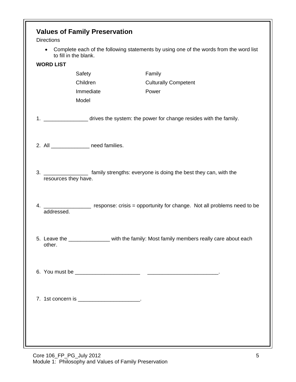<span id="page-7-0"></span>

| <b>Values of Family Preservation</b><br><b>Directions</b> |                                                                                         |                                                                                          |  |  |  |
|-----------------------------------------------------------|-----------------------------------------------------------------------------------------|------------------------------------------------------------------------------------------|--|--|--|
| $\bullet$                                                 | to fill in the blank.                                                                   | Complete each of the following statements by using one of the words from the word list   |  |  |  |
| <b>WORD LIST</b>                                          |                                                                                         |                                                                                          |  |  |  |
|                                                           | Safety                                                                                  | Family                                                                                   |  |  |  |
|                                                           | Children                                                                                | <b>Culturally Competent</b>                                                              |  |  |  |
|                                                           | Immediate                                                                               | Power                                                                                    |  |  |  |
|                                                           | Model                                                                                   |                                                                                          |  |  |  |
|                                                           |                                                                                         | 1. ____________________ drives the system: the power for change resides with the family. |  |  |  |
|                                                           | 2. All _________________ need families.                                                 |                                                                                          |  |  |  |
| resources they have.                                      |                                                                                         | 3. ____________________ family strengths: everyone is doing the best they can, with the  |  |  |  |
| 4.<br>addressed.                                          | response: crisis = opportunity for change. Not all problems need to be                  |                                                                                          |  |  |  |
| other.                                                    | 5. Leave the ______________ with the family: Most family members really care about each |                                                                                          |  |  |  |
|                                                           |                                                                                         |                                                                                          |  |  |  |
|                                                           |                                                                                         |                                                                                          |  |  |  |
|                                                           |                                                                                         |                                                                                          |  |  |  |
|                                                           |                                                                                         |                                                                                          |  |  |  |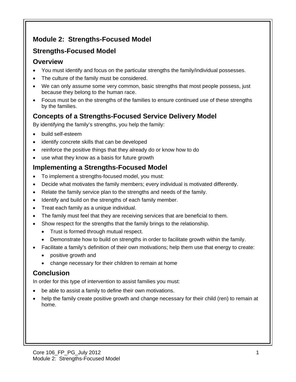## <span id="page-8-0"></span>**Module 2: Strengths-Focused Model**

## <span id="page-8-1"></span>**Strengths-Focused Model**

#### **Overview**

- You must identify and focus on the particular strengths the family/individual possesses.
- The culture of the family must be considered.
- We can only assume some very common, basic strengths that most people possess, just because they belong to the human race.
- Focus must be on the strengths of the families to ensure continued use of these strengths by the families.

### **Concepts of a Strengths-Focused Service Delivery Model**

By identifying the family's strengths, you help the family:

- build self-esteem
- identify concrete skills that can be developed
- reinforce the positive things that they already do or know how to do
- use what they know as a basis for future growth

### **Implementing a Strengths-Focused Model**

- To implement a strengths-focused model, you must:
- Decide what motivates the family members; every individual is motivated differently.
- Relate the family service plan to the strengths and needs of the family.
- Identify and build on the strengths of each family member.
- Treat each family as a unique individual.
- The family must feel that they are receiving services that are beneficial to them.
- Show respect for the strengths that the family brings to the relationship.
	- Trust is formed through mutual respect.
	- Demonstrate how to build on strengths in order to facilitate growth within the family.
- Facilitate a family's definition of their own motivations; help them use that energy to create:
	- positive growth and
	- change necessary for their children to remain at home

# **Conclusion**

In order for this type of intervention to assist families you must:

- be able to assist a family to define their own motivations.
- help the family create positive growth and change necessary for their child (ren) to remain at home.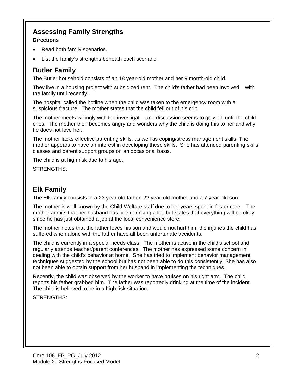### <span id="page-9-0"></span>**Assessing Family Strengths**

#### **Directions**

- Read both family scenarios.
- List the family's strengths beneath each scenario.

### **Butler Family**

The Butler household consists of an 18 year-old mother and her 9 month-old child.

They live in a housing project with subsidized rent. The child's father had been involved with the family until recently.

The hospital called the hotline when the child was taken to the emergency room with a suspicious fracture. The mother states that the child fell out of his crib.

The mother meets willingly with the investigator and discussion seems to go well, until the child cries. The mother then becomes angry and wonders why the child is doing this to her and why he does not love her.

The mother lacks effective parenting skills, as well as coping/stress management skills. The mother appears to have an interest in developing these skills. She has attended parenting skills classes and parent support groups on an occasional basis.

The child is at high risk due to his age.

STRENGTHS:

### **Elk Family**

The Elk family consists of a 23 year-old father, 22 year-old mother and a 7 year-old son.

The mother is well known by the Child Welfare staff due to her years spent in foster care. The mother admits that her husband has been drinking a lot, but states that everything will be okay, since he has just obtained a job at the local convenience store.

The mother notes that the father loves his son and would not hurt him; the injuries the child has suffered when alone with the father have all been unfortunate accidents.

The child is currently in a special needs class. The mother is active in the child's school and regularly attends teacher/parent conferences. The mother has expressed some concern in dealing with the child's behavior at home. She has tried to implement behavior management techniques suggested by the school but has not been able to do this consistently. She has also not been able to obtain support from her husband in implementing the techniques.

Recently, the child was observed by the worker to have bruises on his right arm. The child reports his father grabbed him. The father was reportedly drinking at the time of the incident. The child is believed to be in a high risk situation.

STRENGTHS: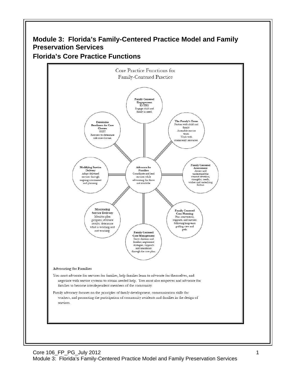#### <span id="page-10-0"></span>**Module 3: Florida's Family-Centered Practice Model and Family Preservation Services Florida's Core Practice Functions**

<span id="page-10-1"></span>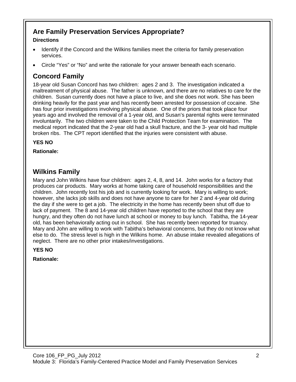### <span id="page-11-0"></span>**Are Family Preservation Services Appropriate?**

#### **Directions**

- Identify if the Concord and the Wilkins families meet the criteria for family preservation services.
- Circle "Yes" or "No" and write the rationale for your answer beneath each scenario.

# **Concord Family**

18-year old Susan Concord has two children: ages 2 and 3. The investigation indicated a maltreatment of physical abuse. The father is unknown, and there are no relatives to care for the children. Susan currently does not have a place to live, and she does not work. She has been drinking heavily for the past year and has recently been arrested for possession of cocaine. She has four prior investigations involving physical abuse. One of the priors that took place four years ago and involved the removal of a 1-year old, and Susan's parental rights were terminated involuntarily. The two children were taken to the Child Protection Team for examination. The medical report indicated that the 2-year old had a skull fracture, and the 3- year old had multiple broken ribs. The CPT report identified that the injuries were consistent with abuse.

**YES NO** 

**Rationale:** 

### **Wilkins Family**

Mary and John Wilkins have four children: ages 2, 4, 8, and 14. John works for a factory that produces car products. Mary works at home taking care of household responsibilities and the children. John recently lost his job and is currently looking for work. Mary is willing to work; however, she lacks job skills and does not have anyone to care for her 2 and 4-year old during the day if she were to get a job. The electricity in the home has recently been shut off due to lack of payment. The 8 and 14-year old children have reported to the school that they are hungry, and they often do not have lunch at school or money to buy lunch. Tabitha, the 14-year old, has been behaviorally acting out in school. She has recently been reported for truancy. Mary and John are willing to work with Tabitha's behavioral concerns, but they do not know what else to do. The stress level is high in the Wilkins home. An abuse intake revealed allegations of neglect. There are no other prior intakes/investigations.

#### **YES NO**

**Rationale:**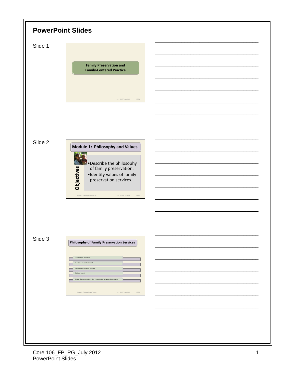<span id="page-12-0"></span>

| <b>PowerPoint Slides</b> |                                                                                                                                                                                                                                                                                                                                     |  |  |  |
|--------------------------|-------------------------------------------------------------------------------------------------------------------------------------------------------------------------------------------------------------------------------------------------------------------------------------------------------------------------------------|--|--|--|
| Slide 1                  | <b>Family Preservation and</b><br><b>Family-Centered Practice</b><br>Core 106_FP_July 2012<br>PPT 1                                                                                                                                                                                                                                 |  |  |  |
| Slide 2                  | Module 1: Philosophy and Values<br>Describe the philosophy<br>Objectives<br>of family preservation.<br>·Identify values of family<br>preservation services.<br>Module 1: Philosophy and Values<br>Core 106_FP_July 2012<br>PPT <sub>2</sub>                                                                                         |  |  |  |
| Slide 3                  | <b>Philosophy of Family Preservation Services</b><br>Child safety is paramount.<br>All actions are family focused.<br>Families are considered partners.<br>Built on respect.<br>Build on family strengths within the context of culture and community.<br>Module 1: Philosophy and Values<br>Core 106_FP_July 2012<br>${\sf PPT}$ 3 |  |  |  |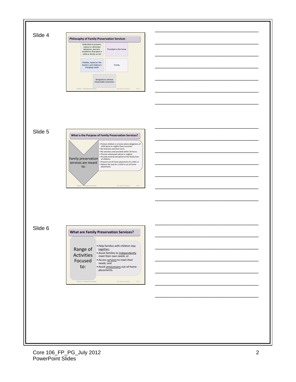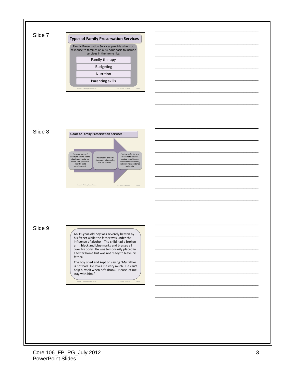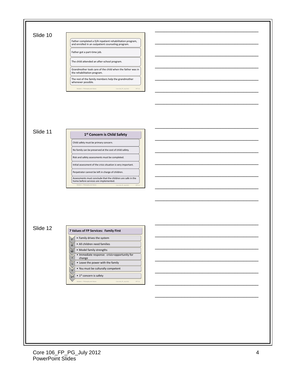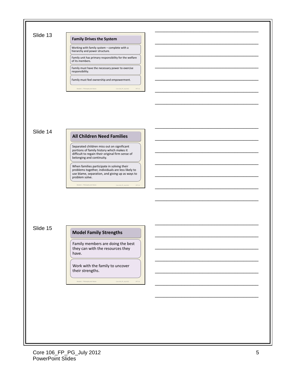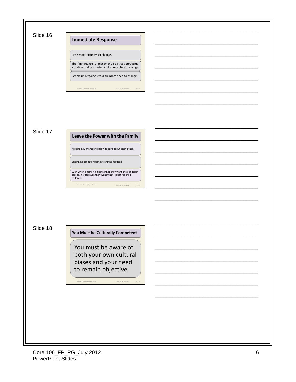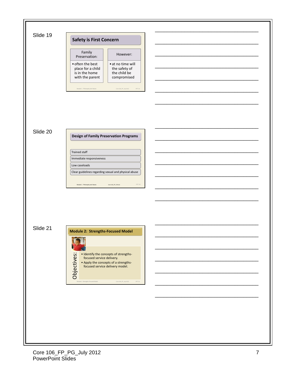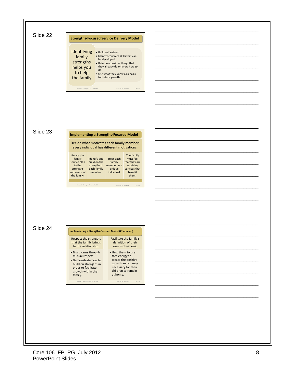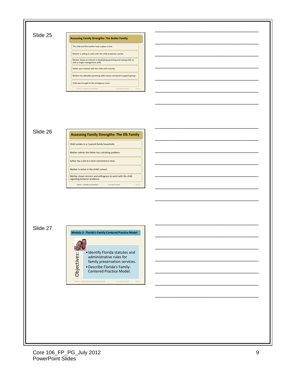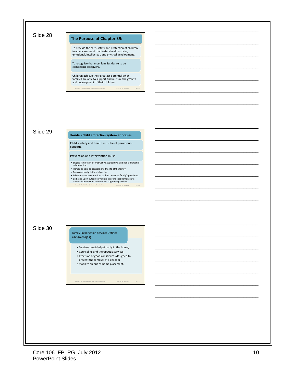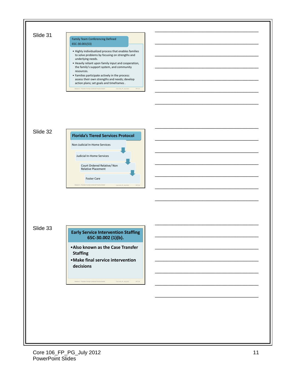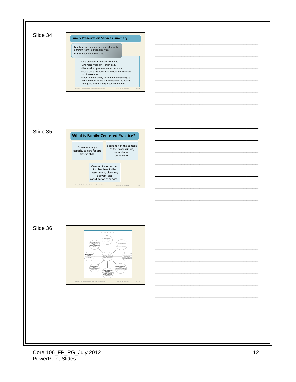